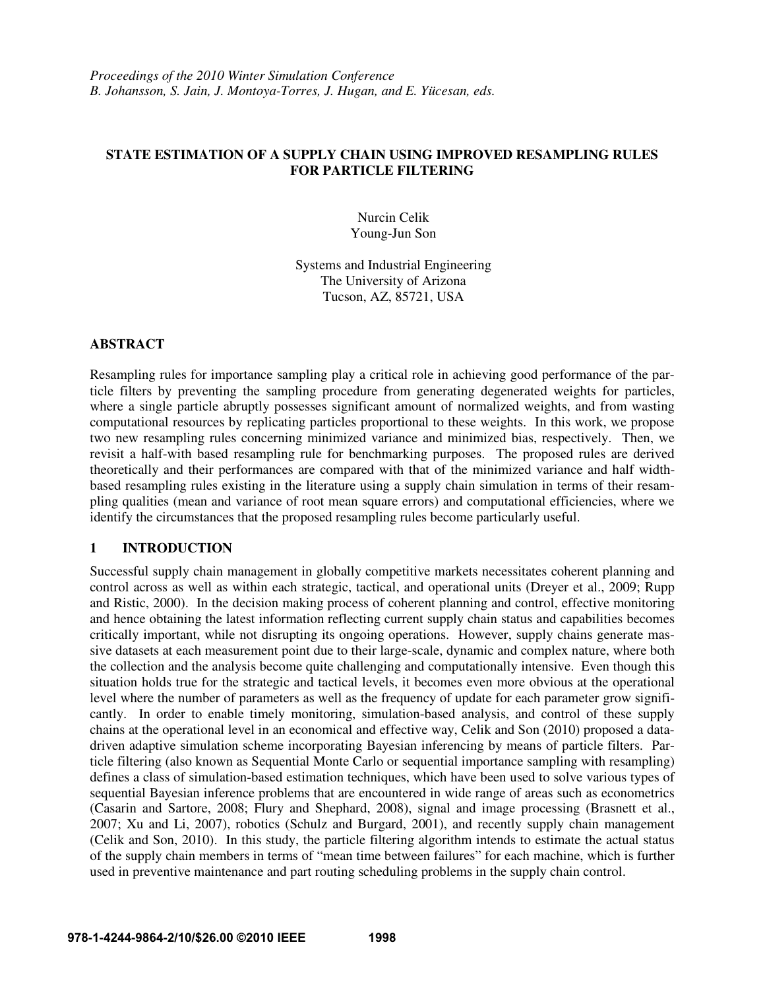# **STATE ESTIMATION OF A SUPPLY CHAIN USING IMPROVED RESAMPLING RULES FOR PARTICLE FILTERING**

Nurcin Celik Young-Jun Son

Systems and Industrial Engineering The University of Arizona Tucson, AZ, 85721, USA

# **ABSTRACT**

Resampling rules for importance sampling play a critical role in achieving good performance of the particle filters by preventing the sampling procedure from generating degenerated weights for particles, where a single particle abruptly possesses significant amount of normalized weights, and from wasting computational resources by replicating particles proportional to these weights. In this work, we propose two new resampling rules concerning minimized variance and minimized bias, respectively. Then, we revisit a half-with based resampling rule for benchmarking purposes. The proposed rules are derived theoretically and their performances are compared with that of the minimized variance and half widthbased resampling rules existing in the literature using a supply chain simulation in terms of their resampling qualities (mean and variance of root mean square errors) and computational efficiencies, where we identify the circumstances that the proposed resampling rules become particularly useful.

### **1 INTRODUCTION**

Successful supply chain management in globally competitive markets necessitates coherent planning and control across as well as within each strategic, tactical, and operational units (Dreyer et al., 2009; Rupp and Ristic, 2000). In the decision making process of coherent planning and control, effective monitoring and hence obtaining the latest information reflecting current supply chain status and capabilities becomes critically important, while not disrupting its ongoing operations. However, supply chains generate massive datasets at each measurement point due to their large-scale, dynamic and complex nature, where both the collection and the analysis become quite challenging and computationally intensive. Even though this situation holds true for the strategic and tactical levels, it becomes even more obvious at the operational level where the number of parameters as well as the frequency of update for each parameter grow significantly. In order to enable timely monitoring, simulation-based analysis, and control of these supply chains at the operational level in an economical and effective way, Celik and Son (2010) proposed a datadriven adaptive simulation scheme incorporating Bayesian inferencing by means of particle filters. Particle filtering (also known as Sequential Monte Carlo or sequential importance sampling with resampling) defines a class of simulation-based estimation techniques, which have been used to solve various types of sequential Bayesian inference problems that are encountered in wide range of areas such as econometrics (Casarin and Sartore, 2008; Flury and Shephard, 2008), signal and image processing (Brasnett et al., 2007; Xu and Li, 2007), robotics (Schulz and Burgard, 2001), and recently supply chain management (Celik and Son, 2010). In this study, the particle filtering algorithm intends to estimate the actual status of the supply chain members in terms of "mean time between failures" for each machine, which is further used in preventive maintenance and part routing scheduling problems in the supply chain control.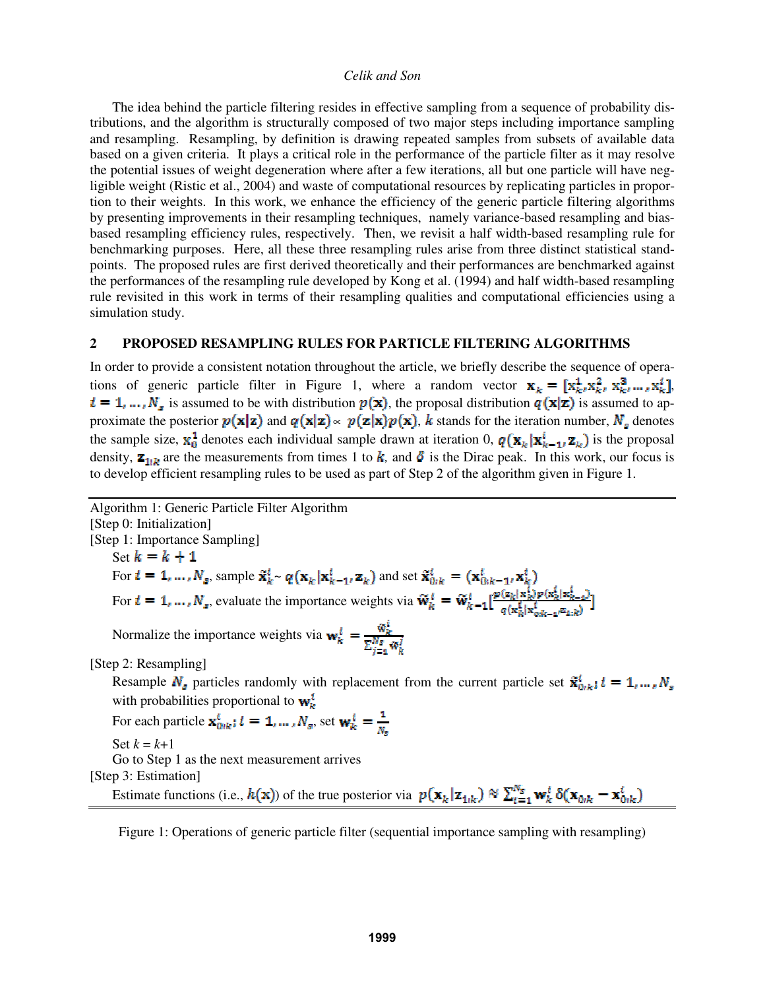The idea behind the particle filtering resides in effective sampling from a sequence of probability distributions, and the algorithm is structurally composed of two major steps including importance sampling and resampling. Resampling, by definition is drawing repeated samples from subsets of available data based on a given criteria. It plays a critical role in the performance of the particle filter as it may resolve the potential issues of weight degeneration where after a few iterations, all but one particle will have negligible weight (Ristic et al., 2004) and waste of computational resources by replicating particles in proportion to their weights. In this work, we enhance the efficiency of the generic particle filtering algorithms by presenting improvements in their resampling techniques, namely variance-based resampling and biasbased resampling efficiency rules, respectively. Then, we revisit a half width-based resampling rule for benchmarking purposes. Here, all these three resampling rules arise from three distinct statistical standpoints. The proposed rules are first derived theoretically and their performances are benchmarked against the performances of the resampling rule developed by Kong et al. (1994) and half width-based resampling rule revisited in this work in terms of their resampling qualities and computational efficiencies using a simulation study.

# **2 PROPOSED RESAMPLING RULES FOR PARTICLE FILTERING ALGORITHMS**

In order to provide a consistent notation throughout the article, we briefly describe the sequence of operations of generic particle filter in Figure 1, where a random vector  $\mathbf{x}_k = [\mathbf{x}_{k}^1, \mathbf{x}_{k}^2, \mathbf{x}_{k}^3, \dots, \mathbf{x}_{k}^i]$ ,  $i = 1, ..., N<sub>s</sub>$  is assumed to be with distribution  $p(x)$ , the proposal distribution  $q(x|z)$  is assumed to approximate the posterior  $p(x|z)$  and  $q(x|z) \sim p(z|x)p(x)$ , k stands for the iteration number,  $N_s$  denotes the sample size,  $\mathbf{x}_0^1$  denotes each individual sample drawn at iteration 0,  $q(\mathbf{x}_k|\mathbf{x}_{k-1}^i,\mathbf{z}_k)$  is the proposal density,  $\mathbf{z}_{1:k}$  are the measurements from times 1 to *k*, and  $\delta$  is the Dirac peak. In this work, our focus is to develop efficient resampling rules to be used as part of Step 2 of the algorithm given in Figure 1.

Algorithm 1: Generic Particle Filter Algorithm  
\n[Step 0: Initialization]  
\n[Step 1: Importance Sampling]  
\nSet 
$$
k = k + 1
$$
  
\nFor  $i = 1, ..., N_s$ , sample  $\tilde{\mathbf{x}}_k^i \sim q(\mathbf{x}_k | \mathbf{x}_{k-1}^i, \mathbf{z}_k)$  and set  $\tilde{\mathbf{x}}_{0:k}^i = (\mathbf{x}_{0:k-1}^i, \mathbf{x}_k^i)$   
\nFor  $i = 1, ..., N_s$ , evaluate the importance weights via  $\tilde{\mathbf{w}}_k^i = \tilde{\mathbf{w}}_{k-1}^i [\frac{p(\mathbf{x}_k | \mathbf{x}_{k-2}^i, \mathbf{z}_{k-1})}{q(\mathbf{x}_k^i | \mathbf{x}_{k-2}^i, \mathbf{z}_{k-2})}]$   
\nNormalize the importance weights via  $\mathbf{w}_k^i = \frac{\tilde{\mathbf{w}}_k^i}{\sum_{j=1}^{N_s} \tilde{\mathbf{w}}_k^j}$   
\n[Step 2: Resampling]  
\nResample  $N_s$  particles randomly with replacement from the current particle set  $\tilde{\mathbf{x}}_{0:k}^i$ ;  $i = 1, ..., N_s$   
\nwith probabilities proportional to  $\mathbf{w}_k^i$   
\nFor each particle  $\mathbf{x}_{0:k}^i$ ;  $i = 1, ..., N_s$ , set  $\mathbf{w}_k^i = \frac{1}{N_s}$   
\nSet  $k = k+1$   
\nGo to Step 1 as the next measurement arrives  
\n[Step 3: Estimation]  
\nEstimate functions (i.e.,  $h(\mathbf{x})$ ) of the true posterior via  $p(\mathbf{x}_k | \mathbf{z}_{1:k}) \approx \sum_{i=1}^{N_s} \mathbf{w}_k^i \delta(\mathbf{x}_{0:k} - \mathbf{x}_{0:k}^i)$ 

Figure 1: Operations of generic particle filter (sequential importance sampling with resampling)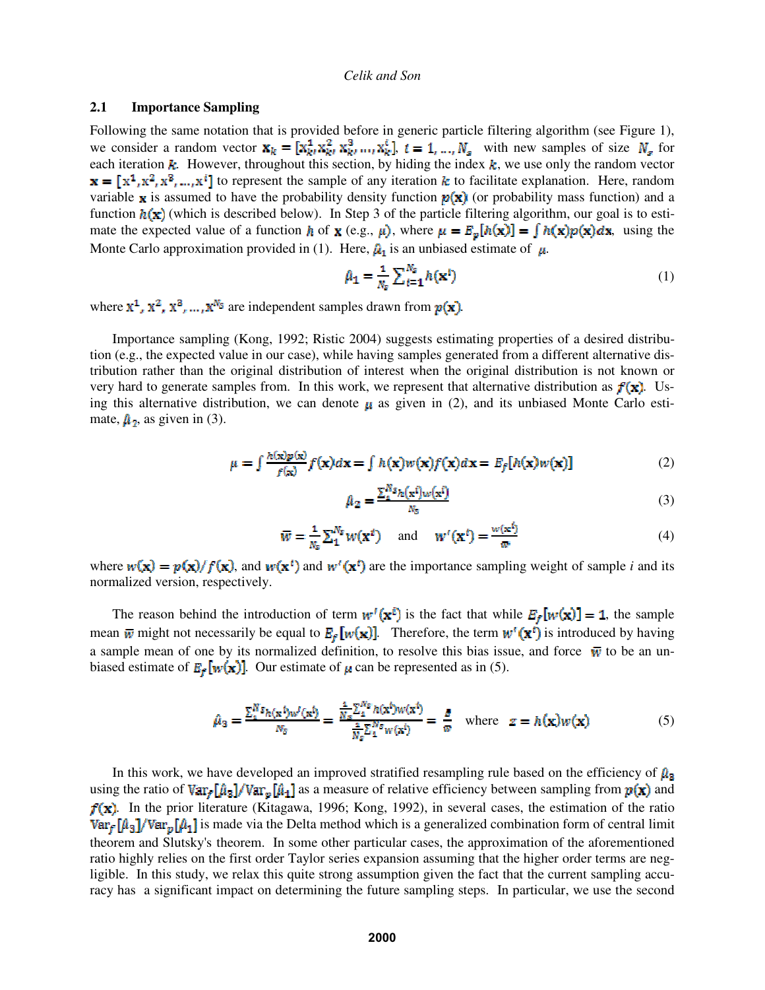#### **2.1 Importance Sampling**

Following the same notation that is provided before in generic particle filtering algorithm (see Figure 1), we consider a random vector  $\mathbf{x}_k = [\mathbf{x}_k^1, \mathbf{x}_k^2, \mathbf{x}_k^3, ..., \mathbf{x}_k^i], i = 1, ..., N_s$  with new samples of size  $N_s$  for each iteration  $\bf{k}$ . However, throughout this section, by hiding the index  $\bf{k}$ , we use only the random vector  $\mathbf{x} = [x^1, x^2, x^3, ..., x^i]$  to represent the sample of any iteration k to facilitate explanation. Here, random variable **x** is assumed to have the probability density function  $p(x)$  (or probability mass function) and a function  $h(x)$  (which is described below). In Step 3 of the particle filtering algorithm, our goal is to estimate the expected value of a function h of **x** (e.g.,  $\mu$ ), where  $\mu = E_p[h(\mathbf{x})] = \int h(\mathbf{x})p(\mathbf{x})d\mathbf{x}$ , using the Monte Carlo approximation provided in (1). Here,  $\hat{\mu}_1$  is an unbiased estimate of  $\mu$ .

$$
\hat{\mu}_1 = \frac{1}{N_S} \sum_{i=1}^{N_S} h(\mathbf{x}^i)
$$
\n(1)

where  $X^1$ ,  $X^2$ ,  $X^3$ , ...,  $X^{N_S}$  are independent samples drawn from  $p(x)$ .

 Importance sampling (Kong, 1992; Ristic 2004) suggests estimating properties of a desired distribution (e.g., the expected value in our case), while having samples generated from a different alternative distribution rather than the original distribution of interest when the original distribution is not known or very hard to generate samples from. In this work, we represent that alternative distribution as  $f(\mathbf{x})$ . Using this alternative distribution, we can denote  $\mu$  as given in (2), and its unbiased Monte Carlo estimate,  $\hat{\mu}_2$ , as given in (3).

$$
\mu = \int \frac{h(x)p(x)}{f(x)} f(x) dx = \int h(x)w(x)f(x) dx = E_f[h(x)w(x)] \tag{2}
$$

$$
\hat{\mu}_2 = \frac{\sum_{i=1}^{N_S} h(\mathbf{x}^i) \mathbf{w}(\mathbf{x}^i)}{N_S} \tag{3}
$$

$$
\overline{w} = \frac{1}{N_S} \sum_{1}^{N_S} w(\mathbf{x}^i) \quad \text{and} \quad w'(\mathbf{x}^i) = \frac{w(\mathbf{x}^i)}{\overline{w}} \tag{4}
$$

where  $w(\mathbf{x}) = p(\mathbf{x})/f(\mathbf{x})$ , and  $w(\mathbf{x}^i)$  and  $w'(\mathbf{x}^i)$  are the importance sampling weight of sample *i* and its normalized version, respectively.

The reason behind the introduction of term  $w^{t}(x^{t})$  is the fact that while  $E_{f}[w(x)] = 1$ , the sample mean  $\overline{w}$  might not necessarily be equal to  $E_f[w(\mathbf{x})]$ . Therefore, the term  $w'(\mathbf{x}^t)$  is introduced by having a sample mean of one by its normalized definition, to resolve this bias issue, and force  $\bar{w}$  to be an unbiased estimate of  $E_f[w(x)]$ . Our estimate of  $\mu$  can be represented as in (5).

$$
\hat{\mu}_3 = \frac{\sum_{s}^{N_S} h(\mathbf{x}^i) w'(x^i)}{N_S} = \frac{\frac{4}{N_S} \sum_{s}^{N_S} h(\mathbf{x}^i) w(\mathbf{x}^i)}{\frac{4}{N_S} \sum_{s}^{N_S} w(\mathbf{x}^i)} = \frac{\bar{z}}{\bar{w}} \quad \text{where} \quad z = h(\mathbf{x}) w(\mathbf{x}) \tag{5}
$$

In this work, we have developed an improved stratified resampling rule based on the efficiency of  $\hat{\mu}_3$ using the ratio of  $Var_{r}[\mu_{3}]/Var_{v}[\mu_{1}]$  as a measure of relative efficiency between sampling from  $p(x)$  and  $f(x)$ . In the prior literature (Kitagawa, 1996; Kong, 1992), in several cases, the estimation of the ratio  $Var_{\mathbf{f}}[\hat{\mu}_3]/Var_n[\hat{\mu}_1]$  is made via the Delta method which is a generalized combination form of central limit theorem and Slutsky's theorem. In some other particular cases, the approximation of the aforementioned ratio highly relies on the first order Taylor series expansion assuming that the higher order terms are negligible. In this study, we relax this quite strong assumption given the fact that the current sampling accuracy has a significant impact on determining the future sampling steps. In particular, we use the second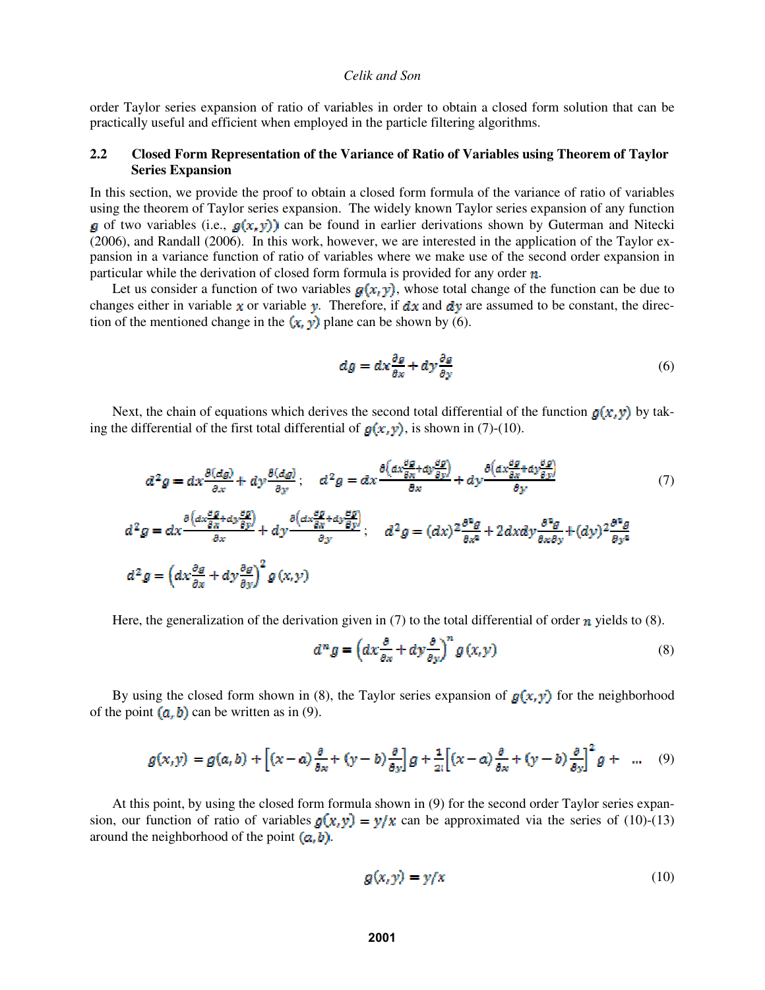order Taylor series expansion of ratio of variables in order to obtain a closed form solution that can be practically useful and efficient when employed in the particle filtering algorithms.

## **2.2 Closed Form Representation of the Variance of Ratio of Variables using Theorem of Taylor Series Expansion**

In this section, we provide the proof to obtain a closed form formula of the variance of ratio of variables using the theorem of Taylor series expansion. The widely known Taylor series expansion of any function **g** of two variables (i.e.,  $g(x, y)$ ) can be found in earlier derivations shown by Guterman and Nitecki (2006), and Randall (2006). In this work, however, we are interested in the application of the Taylor expansion in a variance function of ratio of variables where we make use of the second order expansion in particular while the derivation of closed form formula is provided for any order  $n$ .

Let us consider a function of two variables  $g(x, y)$ , whose total change of the function can be due to changes either in variable  $x$  or variable  $y$ . Therefore, if  $dx$  and  $dy$  are assumed to be constant, the direction of the mentioned change in the  $(x, y)$  plane can be shown by (6).

$$
dg = dx \frac{\partial g}{\partial x} + dy \frac{\partial g}{\partial y} \tag{6}
$$

Next, the chain of equations which derives the second total differential of the function  $g(x, y)$  by taking the differential of the first total differential of  $g(x, y)$ , is shown in (7)-(10).

$$
d^2g = dx \frac{\partial(dg)}{\partial x} + dy \frac{\partial(dg)}{\partial y}; \quad d^2g = dx \frac{\partial(dx \frac{\partial g}{\partial x} + dy \frac{\partial g}{\partial y})}{\partial x} + dy \frac{\partial(dx \frac{\partial g}{\partial x} + dy \frac{\partial g}{\partial y})}{\partial y}
$$
(7)  

$$
d^2g = dx \frac{\partial(dx \frac{\partial g}{\partial x} + dy \frac{\partial g}{\partial y})}{\partial x} + dy \frac{\partial(dx \frac{\partial g}{\partial x} + dy \frac{\partial g}{\partial y})}{\partial y}; \quad d^2g = (dx)^2 \frac{\partial^2 g}{\partial x^2} + 2 dx dy \frac{\partial^2 g}{\partial x \partial y} + (dy)^2 \frac{\partial^2 g}{\partial y^2}
$$
  

$$
d^2g = (dx \frac{\partial g}{\partial x} + dy \frac{\partial g}{\partial y})^2 g(x, y)
$$

Here, the generalization of the derivation given in  $(7)$  to the total differential of order  $n$  yields to  $(8)$ .

$$
d^n g = \left( dx \frac{\partial}{\partial x} + dy \frac{\partial}{\partial y} \right)^n g(x, y) \tag{8}
$$

By using the closed form shown in (8), the Taylor series expansion of  $g(x, y)$  for the neighborhood of the point  $(a, b)$  can be written as in (9).

$$
g(x,y) = g(a,b) + \left[ (x-a)\frac{\partial}{\partial x} + (y-b)\frac{\partial}{\partial y} \right]g + \frac{1}{2!} \left[ (x-a)\frac{\partial}{\partial x} + (y-b)\frac{\partial}{\partial y} \right]^2 g + \dots \quad (9)
$$

 At this point, by using the closed form formula shown in (9) for the second order Taylor series expansion, our function of ratio of variables  $g(x, y) = y/x$  can be approximated via the series of (10)-(13) around the neighborhood of the point  $(a, b)$ .

$$
g(x, y) = y/x \tag{10}
$$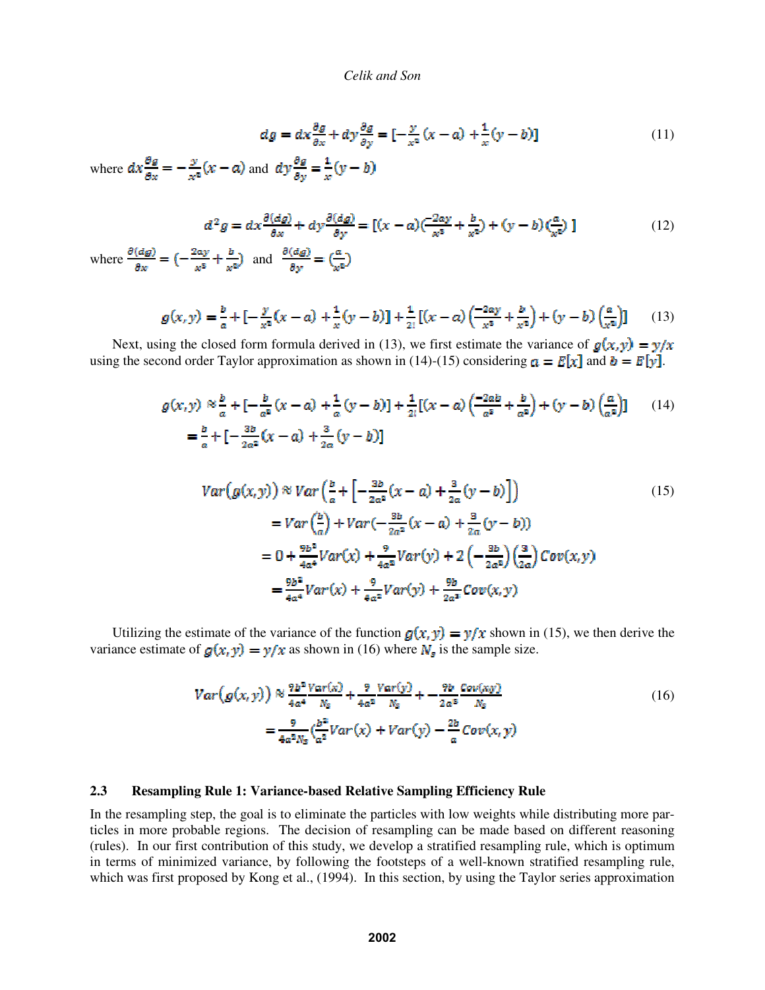$$
dg = dx \frac{\partial g}{\partial x} + dy \frac{\partial g}{\partial y} = \left[ -\frac{y}{x^2} (x - a) + \frac{1}{x} (y - b) \right]
$$
(11)

where  $dx \frac{\partial g}{\partial x} = -\frac{y}{x^2}(x-a)$  and  $dy \frac{\partial g}{\partial y} = \frac{1}{x}(y-b)$ 

$$
d^2g = dx\frac{\partial(dg)}{\partial x} + dy\frac{\partial(dg)}{\partial y} = [(x-a)(\frac{-2ay}{x^2} + \frac{b}{x^2}) + (y-b)(\frac{a}{x^2})]
$$
(12)

where  $\frac{\partial (dg)}{\partial x} = \left(-\frac{2ay}{x^2} + \frac{b}{x^2}\right)$  and  $\frac{\partial (dg)}{\partial y} = \left(\frac{a}{x^2}\right)$ 

$$
g(x, y) = \frac{b}{a} + \left[ -\frac{y}{a^2}(x - a) + \frac{1}{a}(y - b) \right] + \frac{1}{2!} \left[ (x - a) \left( \frac{-2ay}{a^2} + \frac{b}{a^2} \right) + (y - b) \left( \frac{a}{a^2} \right) \right] \tag{13}
$$

Next, using the closed form formula derived in (13), we first estimate the variance of  $g(x, y) = y/x$ using the second order Taylor approximation as shown in (14)-(15) considering  $\alpha = E[x]$  and  $\mathbf{b} = E[y]$ .

$$
g(x,y) \approx \frac{b}{a} + \left[ -\frac{b}{a^2} (x-a) + \frac{1}{a} (y-b) \right] + \frac{1}{2!} \left[ (x-a) \left( \frac{-2ab}{a^2} + \frac{b}{a^2} \right) + (y-b) \left( \frac{a}{a^2} \right) \right] \tag{14}
$$

$$
= \frac{b}{a} + \left[ -\frac{3b}{2a^2} (x-a) + \frac{3}{2a} (y-b) \right]
$$

$$
Var(g(x, y)) \approx Var\left(\frac{b}{a} + \left[-\frac{3b}{2a^2}(x-a) + \frac{3}{2a}(y-b)\right]\right)
$$
\n
$$
= Var\left(\frac{b}{a}\right) + Var(-\frac{3b}{2a^2}(x-a) + \frac{3}{2a}(y-b))
$$
\n
$$
= 0 + \frac{9b^2}{4a^4}Var(x) + \frac{9}{4a^2}Var(y) + 2\left(-\frac{3b}{2a^2}\right)\left(\frac{3}{2a}\right)Cov(x, y)
$$
\n
$$
= \frac{9b^2}{4a^4}Var(x) + \frac{9}{4a^2}Var(y) + \frac{9b}{2a^2}Cov(x, y)
$$
\n(15)

Utilizing the estimate of the variance of the function  $g(x, y) = y/x$  shown in (15), we then derive the variance estimate of  $g(x, y) = y/x$  as shown in (16) where  $N_s$  is the sample size.

$$
Var(g(x, y)) \otimes \frac{2b^2}{4a^4} \frac{Var(x)}{N_S} + \frac{9}{4a^2} \frac{Var(y)}{N_S} + \frac{9b}{2a^2} \frac{Cov(x, y)}{N_S}
$$
  
= 
$$
\frac{9}{4a^2 N_S} \left(\frac{b^2}{a^2} Var(x) + Var(y) - \frac{2b}{a} Cov(x, y) \right)
$$
 (16)

# **2.3 Resampling Rule 1: Variance-based Relative Sampling Efficiency Rule**

In the resampling step, the goal is to eliminate the particles with low weights while distributing more particles in more probable regions. The decision of resampling can be made based on different reasoning (rules). In our first contribution of this study, we develop a stratified resampling rule, which is optimum in terms of minimized variance, by following the footsteps of a well-known stratified resampling rule, which was first proposed by Kong et al., (1994). In this section, by using the Taylor series approximation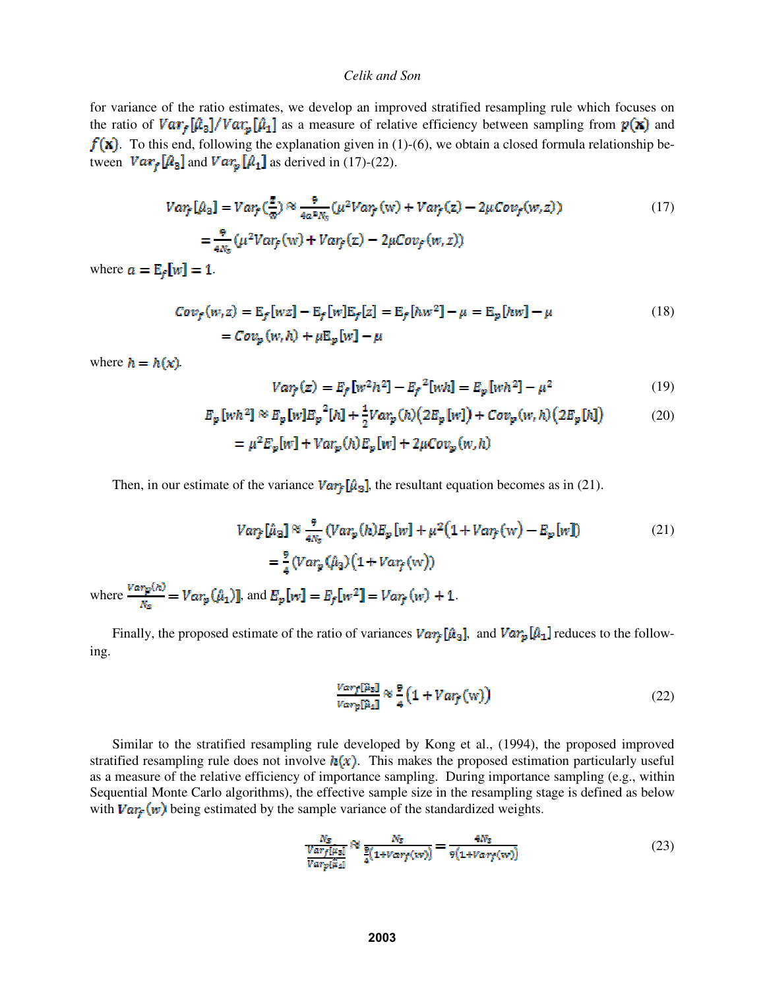for variance of the ratio estimates, we develop an improved stratified resampling rule which focuses on the ratio of  $Var_{\mathbf{f}}[\hat{\mu}_3]/Var_{\mathbf{g}}[\hat{\mu}_1]$  as a measure of relative efficiency between sampling from  $p(\mathbf{x})$  and  $f(\mathbf{x})$ . To this end, following the explanation given in (1)-(6), we obtain a closed formula relationship between  $Var_f[\hat{\mu}_3]$  and  $Var_p[\hat{\mu}_1]$  as derived in (17)-(22).

$$
Var_f[\hat{\mu}_3] = Var_f(\frac{\bar{z}}{\varpi}) \otimes \frac{9}{4\alpha^2 N_S}(\mu^2 Var_f(w) + Var_f(z) - 2\mu Cov_f(w, z))
$$
  
= 
$$
\frac{9}{4N_S}(\mu^2 Var_f(w) + Var_f(z) - 2\mu Cov_f(w, z))
$$
 (17)

where  $a = E_r[w] = 1$ .

$$
Cov_f(w, z) = E_f[wz] - E_f[w]E_f[z] = E_f[hw^2] - \mu = E_p[hw] - \mu
$$
  
=  $Cov_p(w, h) + \mu E_p[w] - \mu$  (18)

where  $h = h(x)$ .

$$
Var_f(z) = E_f[w^2h^2] - E_f^2[wh] = E_p[wh^2] - \mu^2
$$
\n(19)

$$
E_p[wh^2] \approx E_p[w]E_p^2[h] + \frac{1}{2}Var_p(h)(2E_p[w]) + Cov_p(w, h)(2E_p[h])
$$
  
=  $\mu^2 E_p[w] + Var_p(h)E_p[w] + 2\mu Cov_p(w, h)$  (20)

Then, in our estimate of the variance  $Var_f[\hat{\mu}_3]$ , the resultant equation becomes as in (21).

$$
Var_f[\hat{\mu}_3] \approx \frac{9}{4N_s} (Var_p(h)E_p[w] + \mu^2 (1 + Var_f(w) - E_p[w])
$$
\n
$$
= \frac{9}{4} (Var_p(\hat{\mu}_3)(1 + Var_f(w)))
$$
\n
$$
\text{where } \frac{Var_p(h)}{N_s} = Var_p(\hat{\mu}_1)], \text{ and } E_p[w] = E_f[w^2] = Var_f(w) + 1.
$$
\n(21)

Finally, the proposed estimate of the ratio of variances  $Var_{\vec{r}}[\hat{\mu}_3]$ , and  $Var_{\vec{r}}[\hat{\mu}_1]$  reduces to the following.

$$
\frac{Var_f[\hat{\mu}_s]}{Var_p[\hat{\mu}_i]} \approx \frac{9}{4} \left( 1 + Var_f(w) \right)
$$
 (22)

 Similar to the stratified resampling rule developed by Kong et al., (1994), the proposed improved stratified resampling rule does not involve  $h(x)$ . This makes the proposed estimation particularly useful as a measure of the relative efficiency of importance sampling. During importance sampling (e.g., within Sequential Monte Carlo algorithms), the effective sample size in the resampling stage is defined as below with  $Var<sub>F</sub>(w)$  being estimated by the sample variance of the standardized weights.

$$
\frac{N_S}{Var_f[i\omega_s]} \approx \frac{N_S}{\frac{9}{4}(1+Var_f(w))} = \frac{4N_S}{9(1+Var_f(w))}
$$
(23)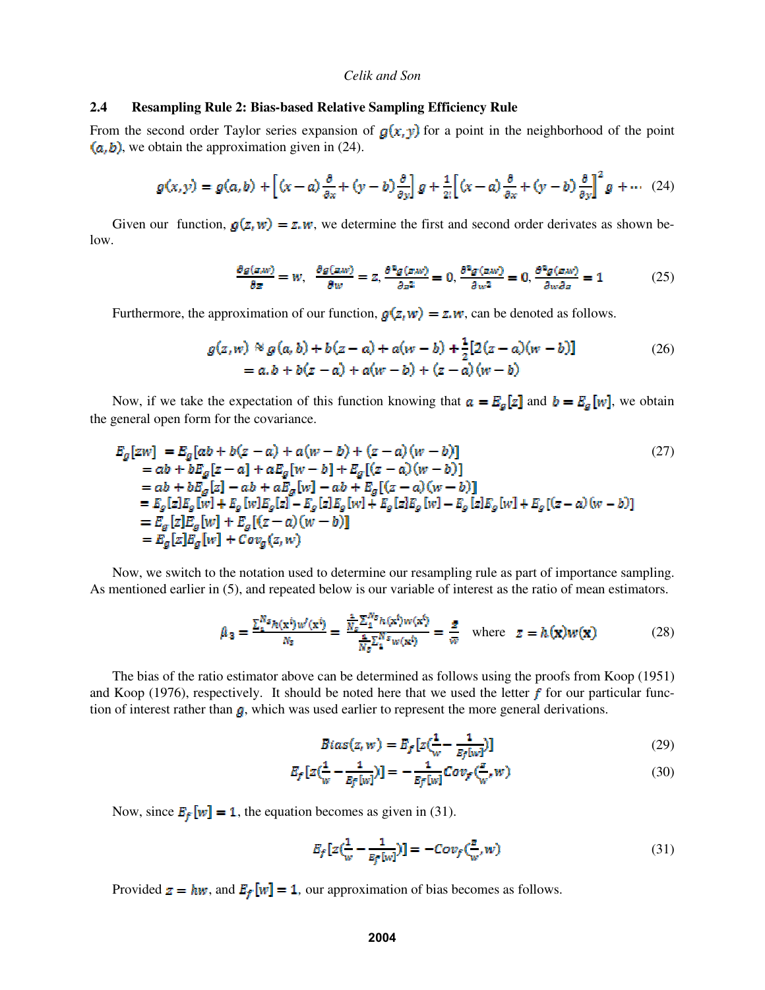#### **2.4 Resampling Rule 2: Bias-based Relative Sampling Efficiency Rule**

From the second order Taylor series expansion of  $g(x, y)$  for a point in the neighborhood of the point  $(a, b)$ , we obtain the approximation given in (24).

$$
g(x,y) = g(a,b) + \left[ (x-a)\frac{\partial}{\partial x} + (y-b)\frac{\partial}{\partial y} \right]g + \frac{1}{2!} \left[ (x-a)\frac{\partial}{\partial x} + (y-b)\frac{\partial}{\partial y} \right]^2 g + \cdots (24)
$$

Given our function,  $g(z, w) = z, w$ , we determine the first and second order derivates as shown below.

$$
\frac{\partial g(z,w)}{\partial z} = w, \quad \frac{\partial g(z,w)}{\partial w} = z, \frac{\partial^2 g(z,w)}{\partial z^2} = 0, \frac{\partial^2 g(z,w)}{\partial w^2} = 0, \frac{\partial^2 g(z,w)}{\partial w \partial z} = 1 \tag{25}
$$

Furthermore, the approximation of our function,  $g(z, w) = z, w$ , can be denoted as follows.

$$
g(z, w) \approx g(a, b) + b(z - a) + a(w - b) + \frac{1}{2}[2(z - a)(w - b)]
$$
  
= a.b + b(z - a) + a(w - b) + (z - a)(w - b) (w - b) (w - b)

Now, if we take the expectation of this function knowing that  $a = E<sub>g</sub>[z]$  and  $b = E<sub>g</sub>[w]$ , we obtain the general open form for the covariance.

$$
E_g[zw] = E_g[ab + b(z - a) + a(w - b) + (z - a)(w - b)]
$$
\n
$$
= ab + bE_g[z - a] + aE_g[w - b] + E_g[(z - a)(w - b)]
$$
\n
$$
= ab + bE_g[z] - ab + aE_g[w] - ab + E_g[(z - a)(w - b)]
$$
\n
$$
= E_g[z]E_g[w] + E_g[w]E_g[z] - E_g[z]E_g[w] + E_g[z]E_g[w] - E_g[z]E_g[w] + E_g[(z - a)(w - b)]
$$
\n
$$
= E_g[z]E_g[w] + E_g[(z - a)(w - b)]
$$
\n
$$
= E_g[z]E_g[w] + Cov_g(z, w)
$$
\n(27)

 Now, we switch to the notation used to determine our resampling rule as part of importance sampling. As mentioned earlier in (5), and repeated below is our variable of interest as the ratio of mean estimators.

$$
\hat{\mu}_3 = \frac{\sum_{s}^{N_S} h(\mathbf{x}^i) w'(\mathbf{x}^i)}{N_S} = \frac{\frac{1}{N_S} \sum_{1}^{N_S} h(\mathbf{x}^i) w(\mathbf{x}^i)}{\frac{1}{N_S} \sum_{1}^{N_S} w(\mathbf{x}^i)} = \frac{\bar{z}}{\bar{w}} \quad \text{where} \quad z = h(\mathbf{x}) w(\mathbf{x}) \tag{28}
$$

 The bias of the ratio estimator above can be determined as follows using the proofs from Koop (1951) and Koop (1976), respectively. It should be noted here that we used the letter  $f$  for our particular function of interest rather than  $g$ , which was used earlier to represent the more general derivations.

$$
Bias(z, w) = E_f[z(\frac{1}{w} - \frac{1}{E_f[w]})]
$$
\n(29)

$$
E_f[z(\frac{1}{w} - \frac{1}{E_f[w]})] = -\frac{1}{E_f[w]}Cov_f(\frac{z}{w}, w)
$$
\n(30)

Now, since  $E_f[w] = 1$ , the equation becomes as given in (31).

$$
E_f[z(\frac{1}{w} - \frac{1}{E_f[w]})] = -Cov_f(\frac{z}{w}, w)
$$
\n(31)

Provided  $z = hw$ , and  $E_f[w] = 1$ , our approximation of bias becomes as follows.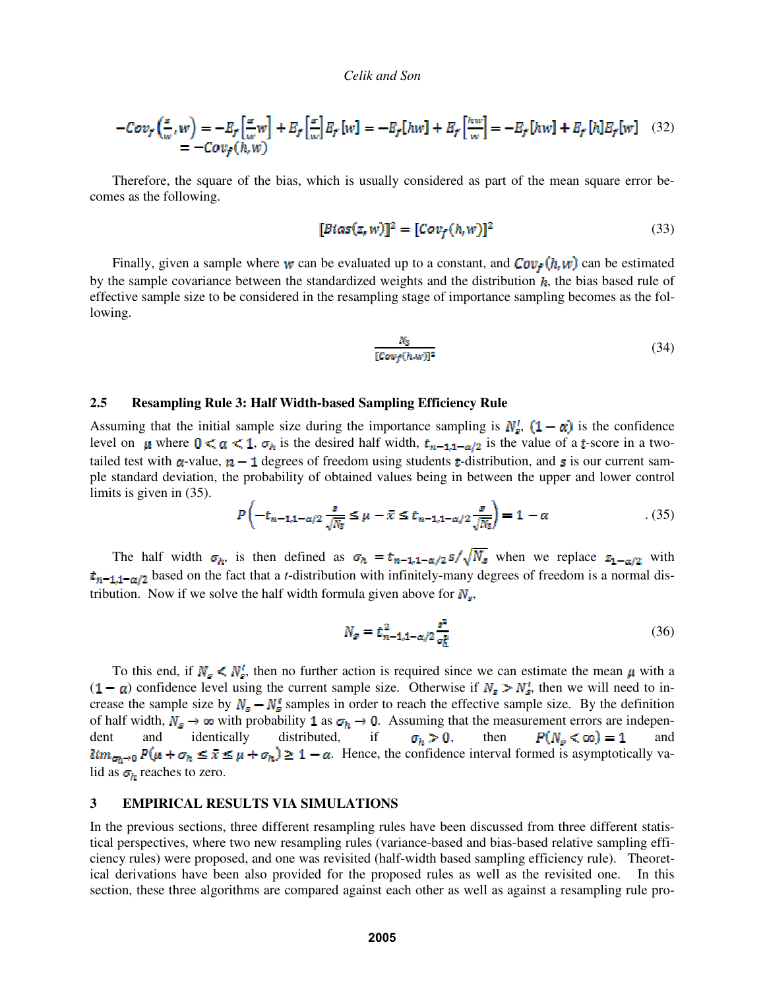$$
-Cov_f\left(\frac{s}{w}, w\right) = -E_f\left[\frac{s}{w}w\right] + E_f\left[\frac{s}{w}\right]E_f[w] = -E_f[hw] + E_f\left[\frac{hw}{w}\right] = -E_f[hw] + E_f[h]E_f[w] \quad (32)
$$

$$
= -Cov_f(h, w)
$$

 Therefore, the square of the bias, which is usually considered as part of the mean square error becomes as the following.

$$
[\text{Bias}(z, w)]^2 = [\text{Cov}_f(h, w)]^2 \tag{33}
$$

Finally, given a sample where w can be evaluated up to a constant, and  $Cov<sub>f</sub>(h, w)$  can be estimated by the sample covariance between the standardized weights and the distribution  $h$ , the bias based rule of effective sample size to be considered in the resampling stage of importance sampling becomes as the following.

$$
\frac{N_S}{[Cov_f(h, w)]^2} \tag{34}
$$

#### **2.5 Resampling Rule 3: Half Width-based Sampling Efficiency Rule**

Assuming that the initial sample size during the importance sampling is  $N_s^l$ ,  $(1 - \alpha)$  is the confidence level on  $\mu$  where  $0 \le \alpha \le 1$ ,  $\sigma_k$  is the desired half width,  $t_{n-1,1-\alpha/2}$  is the value of a t-score in a twotailed test with  $\alpha$ -value,  $n-1$  degrees of freedom using students *t*-distribution, and s is our current sample standard deviation, the probability of obtained values being in between the upper and lower control limits is given in (35).

$$
P\left(-t_{n-1,1-\alpha/2}\frac{s}{\sqrt{N_S}} \le \mu - \bar{x} \le t_{n-1,1-\alpha/2}\frac{s}{\sqrt{N_S}}\right) = 1 - \alpha \tag{35}
$$

The half width  $\sigma_{\bar{k}}$ , is then defined as  $\sigma_{\bar{k}} = t_{n-1,1-\alpha/2} s / \sqrt{N_s}$  when we replace  $z_{1-\alpha/2}$  with based on the fact that a *t*-distribution with infinitely-many degrees of freedom is a normal distribution. Now if we solve the half width formula given above for  $N<sub>s</sub>$ ,

$$
N_s = t_{n-1,1-\alpha/2}^2 \frac{s^2}{\sigma_h^2}
$$
 (36)

To this end, if  $N_s \le N_s$ , then no further action is required since we can estimate the mean  $\mu$  with a  $(1 - \alpha)$  confidence level using the current sample size. Otherwise if  $N_s > N'_s$ , then we will need to increase the sample size by  $N_s - N_s^t$  samples in order to reach the effective sample size. By the definition of half width,  $N_s \to \infty$  with probability 1 as  $\sigma_h \to 0$ . Assuming that the measurement errors are independent and identically distributed, if  $\sigma_h > 0$ , then  $P(N_s < \infty) = 1$  and  $\lim_{\sigma_h \to 0} P(\mu + \sigma_h \le \bar{x} \le \mu + \sigma_h) \ge 1 - \alpha$ . Hence, the confidence interval formed is asymptotically valid as  $\sigma_h$  reaches to zero.

## **3 EMPIRICAL RESULTS VIA SIMULATIONS**

In the previous sections, three different resampling rules have been discussed from three different statistical perspectives, where two new resampling rules (variance-based and bias-based relative sampling efficiency rules) were proposed, and one was revisited (half-width based sampling efficiency rule). Theoretical derivations have been also provided for the proposed rules as well as the revisited one. In this section, these three algorithms are compared against each other as well as against a resampling rule pro-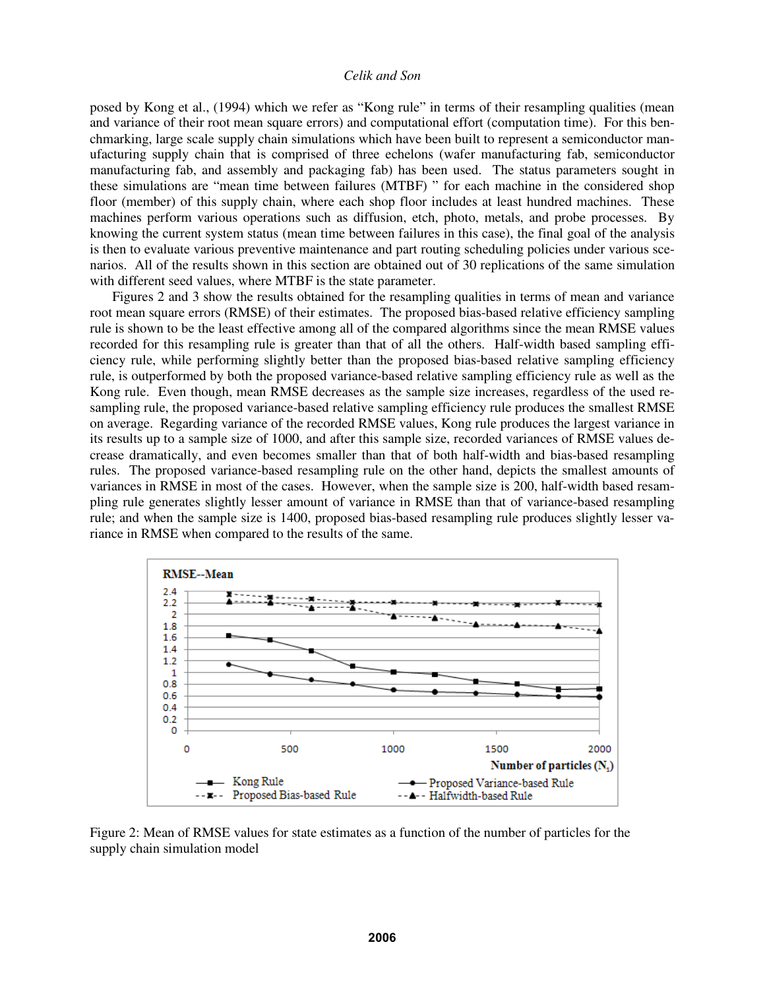posed by Kong et al., (1994) which we refer as "Kong rule" in terms of their resampling qualities (mean and variance of their root mean square errors) and computational effort (computation time). For this benchmarking, large scale supply chain simulations which have been built to represent a semiconductor manufacturing supply chain that is comprised of three echelons (wafer manufacturing fab, semiconductor manufacturing fab, and assembly and packaging fab) has been used. The status parameters sought in these simulations are "mean time between failures (MTBF) " for each machine in the considered shop floor (member) of this supply chain, where each shop floor includes at least hundred machines. These machines perform various operations such as diffusion, etch, photo, metals, and probe processes. By knowing the current system status (mean time between failures in this case), the final goal of the analysis is then to evaluate various preventive maintenance and part routing scheduling policies under various scenarios. All of the results shown in this section are obtained out of 30 replications of the same simulation with different seed values, where MTBF is the state parameter.

 Figures 2 and 3 show the results obtained for the resampling qualities in terms of mean and variance root mean square errors (RMSE) of their estimates. The proposed bias-based relative efficiency sampling rule is shown to be the least effective among all of the compared algorithms since the mean RMSE values recorded for this resampling rule is greater than that of all the others. Half-width based sampling efficiency rule, while performing slightly better than the proposed bias-based relative sampling efficiency rule, is outperformed by both the proposed variance-based relative sampling efficiency rule as well as the Kong rule. Even though, mean RMSE decreases as the sample size increases, regardless of the used resampling rule, the proposed variance-based relative sampling efficiency rule produces the smallest RMSE on average. Regarding variance of the recorded RMSE values, Kong rule produces the largest variance in its results up to a sample size of 1000, and after this sample size, recorded variances of RMSE values decrease dramatically, and even becomes smaller than that of both half-width and bias-based resampling rules. The proposed variance-based resampling rule on the other hand, depicts the smallest amounts of variances in RMSE in most of the cases. However, when the sample size is 200, half-width based resampling rule generates slightly lesser amount of variance in RMSE than that of variance-based resampling rule; and when the sample size is 1400, proposed bias-based resampling rule produces slightly lesser variance in RMSE when compared to the results of the same.



Figure 2: Mean of RMSE values for state estimates as a function of the number of particles for the supply chain simulation model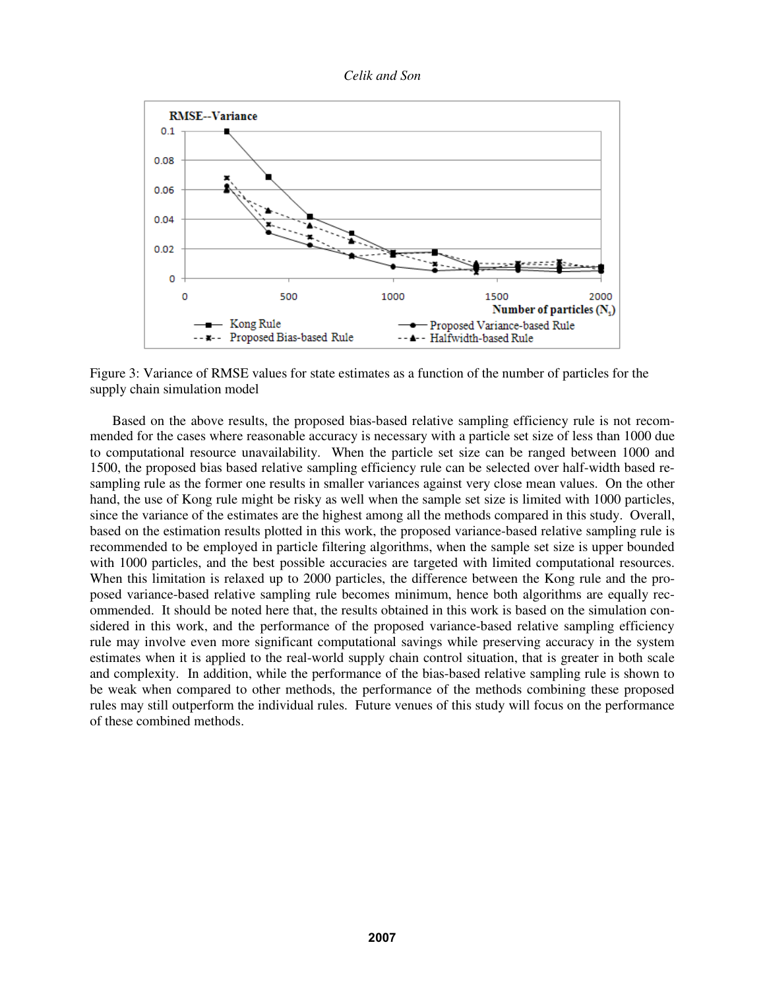



Figure 3: Variance of RMSE values for state estimates as a function of the number of particles for the supply chain simulation model

Based on the above results, the proposed bias-based relative sampling efficiency rule is not recommended for the cases where reasonable accuracy is necessary with a particle set size of less than 1000 due to computational resource unavailability. When the particle set size can be ranged between 1000 and 1500, the proposed bias based relative sampling efficiency rule can be selected over half-width based resampling rule as the former one results in smaller variances against very close mean values. On the other hand, the use of Kong rule might be risky as well when the sample set size is limited with 1000 particles, since the variance of the estimates are the highest among all the methods compared in this study. Overall, based on the estimation results plotted in this work, the proposed variance-based relative sampling rule is recommended to be employed in particle filtering algorithms, when the sample set size is upper bounded with 1000 particles, and the best possible accuracies are targeted with limited computational resources. When this limitation is relaxed up to 2000 particles, the difference between the Kong rule and the proposed variance-based relative sampling rule becomes minimum, hence both algorithms are equally recommended. It should be noted here that, the results obtained in this work is based on the simulation considered in this work, and the performance of the proposed variance-based relative sampling efficiency rule may involve even more significant computational savings while preserving accuracy in the system estimates when it is applied to the real-world supply chain control situation, that is greater in both scale and complexity. In addition, while the performance of the bias-based relative sampling rule is shown to be weak when compared to other methods, the performance of the methods combining these proposed rules may still outperform the individual rules. Future venues of this study will focus on the performance of these combined methods.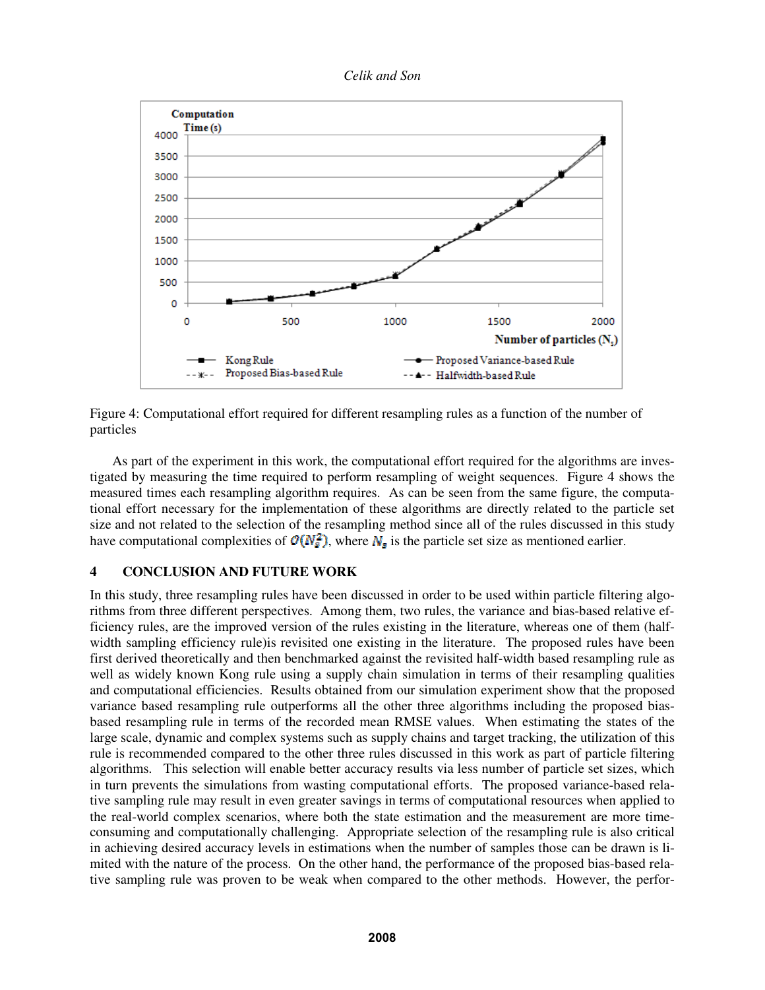

Figure 4: Computational effort required for different resampling rules as a function of the number of particles

 As part of the experiment in this work, the computational effort required for the algorithms are investigated by measuring the time required to perform resampling of weight sequences. Figure 4 shows the measured times each resampling algorithm requires. As can be seen from the same figure, the computational effort necessary for the implementation of these algorithms are directly related to the particle set size and not related to the selection of the resampling method since all of the rules discussed in this study have computational complexities of  $\mathcal{O}(N_s^2)$ , where  $N_s$  is the particle set size as mentioned earlier.

## **4 CONCLUSION AND FUTURE WORK**

In this study, three resampling rules have been discussed in order to be used within particle filtering algorithms from three different perspectives. Among them, two rules, the variance and bias-based relative efficiency rules, are the improved version of the rules existing in the literature, whereas one of them (halfwidth sampling efficiency rule)is revisited one existing in the literature. The proposed rules have been first derived theoretically and then benchmarked against the revisited half-width based resampling rule as well as widely known Kong rule using a supply chain simulation in terms of their resampling qualities and computational efficiencies. Results obtained from our simulation experiment show that the proposed variance based resampling rule outperforms all the other three algorithms including the proposed biasbased resampling rule in terms of the recorded mean RMSE values. When estimating the states of the large scale, dynamic and complex systems such as supply chains and target tracking, the utilization of this rule is recommended compared to the other three rules discussed in this work as part of particle filtering algorithms. This selection will enable better accuracy results via less number of particle set sizes, which in turn prevents the simulations from wasting computational efforts. The proposed variance-based relative sampling rule may result in even greater savings in terms of computational resources when applied to the real-world complex scenarios, where both the state estimation and the measurement are more timeconsuming and computationally challenging. Appropriate selection of the resampling rule is also critical in achieving desired accuracy levels in estimations when the number of samples those can be drawn is limited with the nature of the process. On the other hand, the performance of the proposed bias-based relative sampling rule was proven to be weak when compared to the other methods. However, the perfor-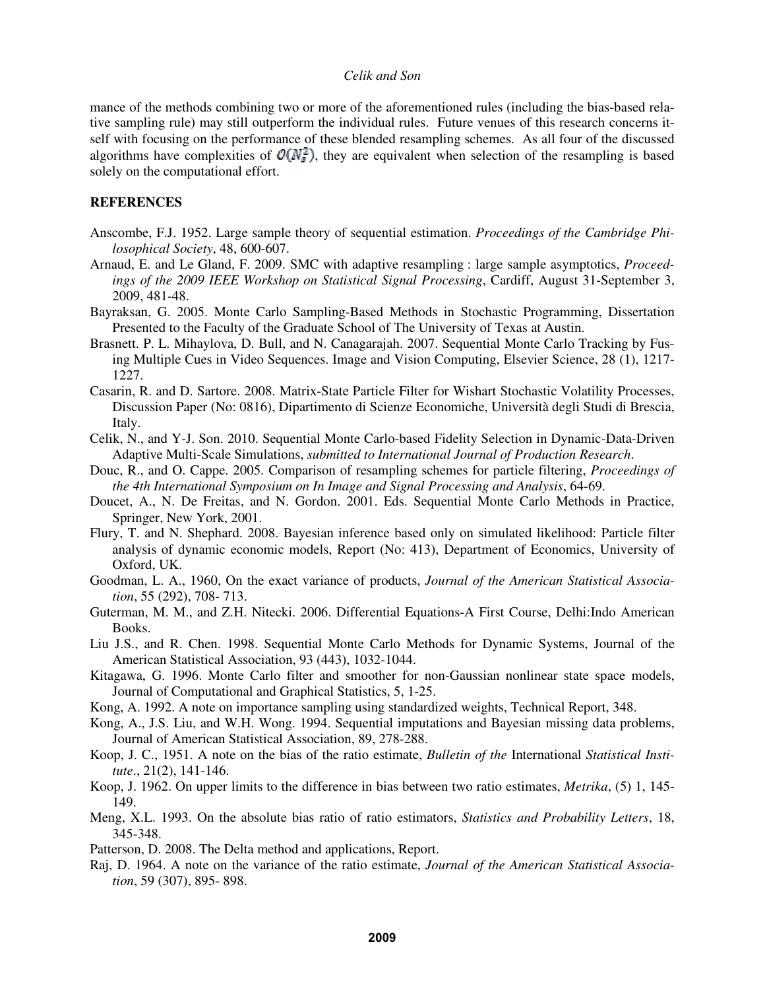mance of the methods combining two or more of the aforementioned rules (including the bias-based relative sampling rule) may still outperform the individual rules. Future venues of this research concerns itself with focusing on the performance of these blended resampling schemes. As all four of the discussed algorithms have complexities of  $\mathcal{O}(N_s^2)$ , they are equivalent when selection of the resampling is based solely on the computational effort.

## **REFERENCES**

- Anscombe, F.J. 1952. Large sample theory of sequential estimation. *Proceedings of the Cambridge Philosophical Society*, 48, 600-607.
- Arnaud, E. and Le Gland, F. 2009. SMC with adaptive resampling : large sample asymptotics, *Proceedings of the 2009 IEEE Workshop on Statistical Signal Processing*, Cardiff, August 31-September 3, 2009, 481-48.
- Bayraksan, G. 2005. Monte Carlo Sampling-Based Methods in Stochastic Programming, Dissertation Presented to the Faculty of the Graduate School of The University of Texas at Austin.
- Brasnett. P. L. Mihaylova, D. Bull, and N. Canagarajah. 2007. Sequential Monte Carlo Tracking by Fusing Multiple Cues in Video Sequences. Image and Vision Computing, Elsevier Science, 28 (1), 1217- 1227.
- Casarin, R. and D. Sartore. 2008. Matrix-State Particle Filter for Wishart Stochastic Volatility Processes, Discussion Paper (No: 0816), Dipartimento di Scienze Economiche, Università degli Studi di Brescia, Italy.
- Celik, N., and Y-J. Son. 2010. Sequential Monte Carlo-based Fidelity Selection in Dynamic-Data-Driven Adaptive Multi-Scale Simulations, *submitted to International Journal of Production Research*.
- Douc, R., and O. Cappe. 2005. Comparison of resampling schemes for particle filtering, *Proceedings of the 4th International Symposium on In Image and Signal Processing and Analysis*, 64-69.
- Doucet, A., N. De Freitas, and N. Gordon. 2001. Eds. Sequential Monte Carlo Methods in Practice, Springer, New York, 2001.
- Flury, T. and N. Shephard. 2008. Bayesian inference based only on simulated likelihood: Particle filter analysis of dynamic economic models, Report (No: 413), Department of Economics, University of Oxford, UK.
- Goodman, L. A., 1960, On the exact variance of products, *Journal of the American Statistical Association*, 55 (292), 708- 713.
- Guterman, M. M., and Z.H. Nitecki. 2006. Differential Equations-A First Course, Delhi:Indo American Books.
- Liu J.S., and R. Chen. 1998. Sequential Monte Carlo Methods for Dynamic Systems, Journal of the American Statistical Association, 93 (443), 1032-1044.
- Kitagawa, G. 1996. Monte Carlo filter and smoother for non-Gaussian nonlinear state space models, Journal of Computational and Graphical Statistics, 5, 1-25.
- Kong, A. 1992. A note on importance sampling using standardized weights, Technical Report, 348.
- Kong, A., J.S. Liu, and W.H. Wong. 1994. Sequential imputations and Bayesian missing data problems, Journal of American Statistical Association, 89, 278-288.
- Koop, J. C., 1951. A note on the bias of the ratio estimate, *Bulletin of the* International *Statistical Institute*., 21(2), 141-146.
- Koop, J. 1962. On upper limits to the difference in bias between two ratio estimates, *Metrika*, (5) 1, 145- 149.
- Meng, X.L. 1993. On the absolute bias ratio of ratio estimators, *Statistics and Probability Letters*, 18, 345-348.
- Patterson, D. 2008. The Delta method and applications, Report.
- Raj, D. 1964. A note on the variance of the ratio estimate, *Journal of the American Statistical Association*, 59 (307), 895- 898.